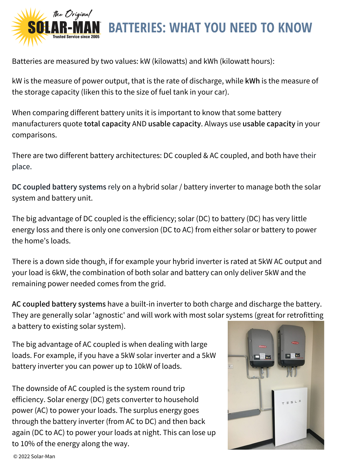

Batteries are measured by two values: kW (kilowatts) and kWh (kilowatt hours):

kW is the measure of power output, that is the rate of discharge, while kWh is the measure of the storage capacity (liken this to the size of fuel tank in your car).

When comparing different battery units it is important to know that some battery manufacturers quote total capacity AND usable capacity. Always use usable capacity in your comparisons.

There are two different battery architectures: DC coupled & AC coupled, and both have their place.

DC coupled battery systems rely on a hybrid solar / battery inverter to manage both the solar system and battery unit.

The big advantage of DC coupled is the efficiency; solar (DC) to battery (DC) has very little energy loss and there is only one conversion (DC to AC) from either solar or battery to power the home's loads.

There is a down side though, if for example your hybrid inverter is rated at 5kW AC output and your load is 6kW, the combination of both solar and battery can only deliver 5kW and the remaining power needed comes from the grid.

AC coupled battery systems have a built-in inverter to both charge and discharge the battery. They are generally solar 'agnostic' and will work with most solar systems (great for retrofitting a battery to existing solar system).

The big advantage of AC coupled is when dealing with large loads. For example, if you have a 5kW solar inverter and a 5kW battery inverter you can power up to 10kW of loads.

The downside of AC coupled is the system round trip efficiency. Solar energy (DC) gets converter to household power (AC) to power your loads. The surplus energy goes through the battery inverter (from AC to DC) and then back again (DC to AC) to power your loads at night. This can lose up to 10% of the energy along the way.